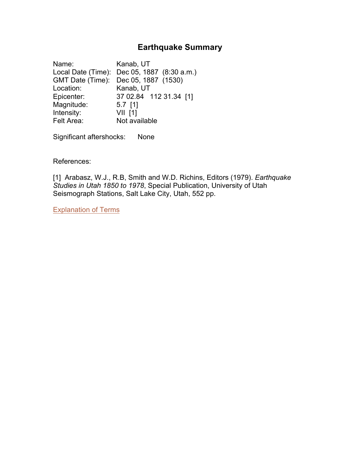# **Earthquake Summary**

<span id="page-0-0"></span>Name: Kanab, UT Local Date (Time): Dec 05, 1887 (8:30 a.m.) GMT Date (Time): Dec 05, 1887 (1530) Location: Kanab, UT Epicenter: 37 02.84 112 31.34 [1] Magnitude: 5.7 [1] Intensity: **VII** [1] Felt Area: Not available

Significant aftershocks: None

References:

[1] Arabasz, W.J., R.B, Smith and W.D. Richins, Editors (1979). *Earthquake Studies in Utah 1850 to 1978*, Special Publication, University of Utah Seismograph Stations, Salt Lake City, Utah, 552 pp.

[Explanation](#page-1-0) of Terms